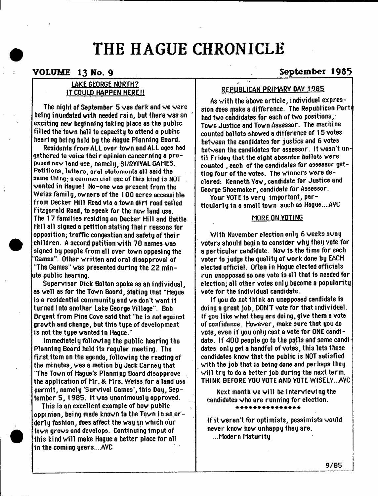# **THE HAGUE CHRONICLE**

# **VOLUME 13 Wo. 9 \_\_\_\_\_\_\_\_\_\_\_\_**

### **LAKE GEORGE NORTH? IT COULD HAPPEN HERE!!**

**The night of September 5 was dark and we were being inundated with needed rain, but there was an ' exciting new beginning taking place as the public filled the town hall to capacity to attend a public hearing being held by the Hague Planning Board.**

**Residents from ALL over town and ALL ages had gathered to voice their opinion concerning a proposed ncv land use, namely, SURVIVAL GAMES. Petitions, letters, orel etoiomenle all said the same thing; a cominei uiel use of this kind is NOT wanted in Hague! No-one was present from the** Weiss family, owners of the 100 acres accessible **from Decker Hill Road via a town dirt road called Fitzgerald Road, to apeak for the new land use. The 17 families residing on Decker Hill and Battle Hill all 3lgned a petition stating their reasons for opposition; traffic congestion and safety of thei r children. A second petition with 78 names was signed by people from all over town opposing the "Games". Other written and oral disapproval of "The Games" was presented during the 22 minute public hearing.**

**Supervisor Dick Bolton spoke as an individual, as well as for the Town Board, stating that "Hague is a residential community and we don't want it turned i nto another Lake George Village". Bob Bryant from Pine Cove said that "he is not against growth and change, but this type of development is not the type wanted 1n Hague."**

**Immediately foil owing the public hearing the Planning Board held its regular meeting. The first item on the agenda, following the reading of the minutes, was a motion by Jack Carney that "The Town of Hague's Planning Board disapprove . the application of Mr. & Mrs. Weiss.for a land use permit, namely 'Survival Games\*, this Day, September 5, 1985. It was unanimously approved.**

**This is an excellent example of how public oppinion, being made known to the Town in an orderl y fashion, does affect the way in which our town grows and develops. Continuing imput of this kind will make Hague a better place for all in the coming years....AVC**

# **September 1965**

# **REPUBLICAN PRIMARY DAY 1985**

**As with the above article, individual expression does make a difference. The Republican Parti had two candidates for each of two positions,: Town Justice and Town Assessor. The machine counted ballots showed a difference of 15 votes between the candidates for justice and 6 votes between the candidates for assessor. It wasn't until Friday that the eight absentee ballots were counted , each of the candidates for assessor getting four of the votes. The winner's were decl a red: Ke n net h Yaw, ca ndi date fo r Justice a nd George Shoemaker, candidate for Assessor.**

**Your VOTE is very Important, particularly in a small town such as Hague....AVC**

#### **MflRF ON YDTING**

**With November election only 6 weeks away voters should begin to consider why they vote for a particular candidate. Now is the time for each voter to judge the quality of work done by EACH elected official. Often in Hague elected officials run unopposed so one vote is all that is needed for election; all other votes only become a popularity vote for the individual candidate.**

**If you do not think an unopposed candidate is doing a great job, D0N7 vote for that individual. If you like what they are doing, give them a vote of confidence. However, make sure that you do vote, even if you onl y cast a vote for ONE candi date. If 400 people go to the polls and some candi dates only get a handful of votes, this lets those candidates know that the public is NOT satisfied with the job that is being done and perhaps they will try to do a better job during the next term. THINK BEFORE YOU YOTE AND YOTE WISELY...AYC**

**Next month we will be interviewing the candidates who are running for election. \* \* \* \* \* \* \* \* \* \* \* \* \* \* \***

**If it weren't for optimists, pessimists would never know how unhappy they are. ...Modern Maturity**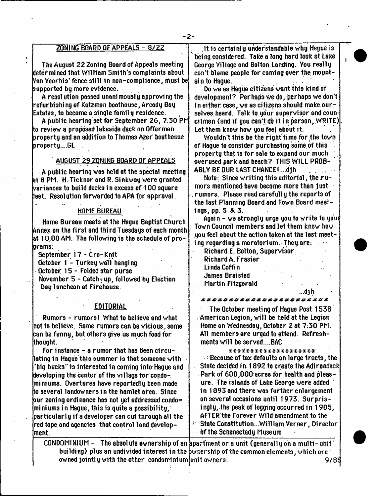| $-2-$                                                                                                                                                                                                                                                                                                                                                                                                                                                                                                                                                                                                                                                                                                                                                                                                                                                                                                                                                                                                                          |                                                                                                                                                                                                                                                                                                                                                                                                                                                                                                                                                                                                                                                                                                                                                                                                                                                                                                                                                                                                                                                                                                                                                               |
|--------------------------------------------------------------------------------------------------------------------------------------------------------------------------------------------------------------------------------------------------------------------------------------------------------------------------------------------------------------------------------------------------------------------------------------------------------------------------------------------------------------------------------------------------------------------------------------------------------------------------------------------------------------------------------------------------------------------------------------------------------------------------------------------------------------------------------------------------------------------------------------------------------------------------------------------------------------------------------------------------------------------------------|---------------------------------------------------------------------------------------------------------------------------------------------------------------------------------------------------------------------------------------------------------------------------------------------------------------------------------------------------------------------------------------------------------------------------------------------------------------------------------------------------------------------------------------------------------------------------------------------------------------------------------------------------------------------------------------------------------------------------------------------------------------------------------------------------------------------------------------------------------------------------------------------------------------------------------------------------------------------------------------------------------------------------------------------------------------------------------------------------------------------------------------------------------------|
| ZONING BOARD OF APPEALS - 8722<br>The August 22 Zoning Board of Appeals meeting<br>deter mined that William Smith's complaints about<br>Nan Voorhis' fence still in non-compliance, must be <br>supported by more evidence.<br>A resolution passed unanimously approving the<br>refurbishing of Katzman boathouse, Arcady Bay<br>Estates, to become a single family residence.<br>A public hearing set for September 26, 7:30 PM<br>to review a proposed lakeside deck on Offerman<br>property and an addition to Thomas Azer boathouse<br>propertyGL<br>AUGUST 29 ZONING BOARD OF APPEALS<br>A public hearing was held at the special meeting<br>at 8 PM. H. Ticknor and R. Sinkway were granted<br>$\lambda$ eriances to build decks in excess of 1 00 square $\lambda$<br>feet.  Resolution forwarded to APA for approval.<br><b>HOME BUREAU</b><br>Home Bureau meets at the Hague Baptist Church<br>Annex on the first and third Tuesdays of each month<br>at $10:00$ AM. The following is the schedule of pro-<br>larams: | , It is certainly understandable why Hague is<br>being considered.  Take a long hard look at Lake<br>George Village and Bolton Landing. You really<br>can't blame people for coming over the mount-<br>ain to Haque.<br>Do we as Hague citizens want this kind of<br>development? Perhaps we do, perhaps we don't<br>In either case, we as citizens should make our-<br>selves heard. Talk to your supervisor and coun-<br>cilmen (and if you can't do it in person, WRITE)<br>Let them know how you feel about it.<br>Wouldn't this be the right time for the town<br>of Hague to consider purchasing some of this<br>property that is for sale to expand our much<br>over used park and beach? THIS WILL PROB-<br>ABLY BE OUR LAST CHANCE!djh<br>Note: Since writing this editorial, the ru-<br>mors mentioned have become more than just.<br>rumors. Please read carefully the reports of<br>the last Planning Board and Town Board meet-<br>ings, pp. 5 & 3.<br>Again - we strongly urge you to write to your<br>Town Council members and let them know how<br>you feel about the action taken at the last meet-<br>ing regarding a moratorium. They are: |
| September 17 - Cro-Knit<br>October 1 - Turkey wall hanging<br>October 15 - Folded star purse<br>November 5 - Catch-up, followed by Election                                                                                                                                                                                                                                                                                                                                                                                                                                                                                                                                                                                                                                                                                                                                                                                                                                                                                    | Richard E. Bolton, Supervisor<br>Richard A. Frasier<br>Linda Coffin<br><b>James Braisted</b><br>Martin Fitzgerald                                                                                                                                                                                                                                                                                                                                                                                                                                                                                                                                                                                                                                                                                                                                                                                                                                                                                                                                                                                                                                             |
| Day luncheon at Firehouse.<br><b>EDITORIAL</b><br>Rumors - rumors! What to believe and what<br>not to believe.  Some rumors can be vicious, some<br>can be funny, but others give us much food for<br>ithought.                                                                                                                                                                                                                                                                                                                                                                                                                                                                                                                                                                                                                                                                                                                                                                                                                | . 01 N<br>***********************<br>The October meeting of Hague Post 1538<br>$\alpha$ American Legion, will be held at the Legion<br>Home on Wednesday, October 2 at 7:30 PM.<br>$\cdot$<br>All members are urged to attend. Refresh-<br>ments will be servedBAC                                                                                                                                                                                                                                                                                                                                                                                                                                                                                                                                                                                                                                                                                                                                                                                                                                                                                            |
| For instance - a rumor that has been circu-<br>lating in Haque this summer is that someone with<br>'big bucks" is interested in coming into Hague and<br>developing the center of the village for condo-.<br>miniums. Overtures have reportedly been made<br>to several landowners in the hamlet area.  Since<br>pur zoning ordinance has not yet addressed condo=<br>miniums in Hague, this is quite a possibility,:<br>particularly if a developer can cut through all the<br>red tape and agencies  that control land develop-<br>lment.<br>CONDOMINIUM -                                                                                                                                                                                                                                                                                                                                                                                                                                                                   | *******************<br>$\sim$ Because of tax defaults on large tracts, the<br>State decided in 1892 to create the Adirondack<br>Park of 600,000 acres for health and pleas-<br>ure. The islands of Lake George were added<br>in 1893 and there was further enlargement<br>on several occasions until 1973. Surpris-<br>ingly, the peak of logging occurred in 1905,<br>AFTER the Forever Wild amendment to the<br>State ConstitutionWilliam Verner, Director<br>Ţ.<br>of the Schenectady Museum<br>The absolute ownership of an apartment or a unit (generally on a multi-unit)                                                                                                                                                                                                                                                                                                                                                                                                                                                                                                                                                                               |

**building) plus an undivided interest in the owned jointly with the other condominium ownership of the common elements, which are unit owners. 9/8? ;**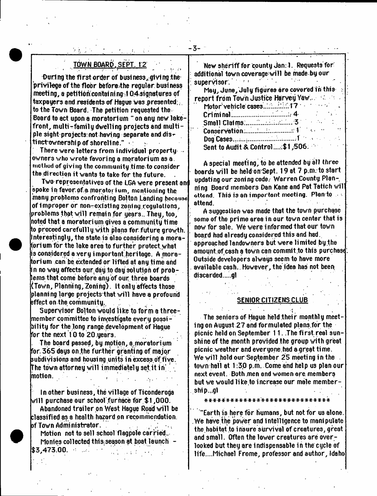# **TOWN BOARD. SEPT. 12**

During the first order of business, giving the **privilege of the floor bfcforethe regular busi ness meeting, a petitibfccontaining 104si gnat u res of taxpayers and residents of Hague was presented;, to the Town Board. The petition requested the Board to act upon a moratorium " on ang new lakefront, multi-familydwelling projects and multiple 3ight'project3:ftot having separate and dis\* tinctownership of shoreline."**

**There were letters from individual property \* owners who wrote favoring a moratorium 83 a.** method **of** giving **the community time to consider the direction it wants to take for the future.**

**Two representatives of the LGA were present an\*) spoke in favor.pf.a fnoratoi ium, mentioning the many problems confronting Bolton Landing because of Improper or non-exi3t1ng zoning regulations, problems that will remain for years.. They, too, noted that a moratorium gives a community time to proceed carefulllyvith plans for. future growth, nterestingly, the state is also considering a moratorium for the lake area to further protect yhat is considered a very important heritage, A moratorium can be extended or lifted at any time and** in no way affects our, day to day solution of prob**lems that come before any of our three boards (Town, Planning, Zoning). It only affects those planning large projectsthat will have a profound effect on the community.**

**Supervisor Bolton would like to form a threemember committee to investigate every possibility for the long range development of Hague for the next 10 to 20 years.**

**The board passed, by motion, a.moratorium for. 365 days on,the further granting of majo/ subdiyi sions and housi ng units i n excess.df.fiye. The town attorney will immediately set.it in ' motion.**

**1 n other busi ne3S, the village of Ticonderoga will purchase our school .furnace for \$1,000.**

**Abandoned trailer on West Hague Road will be classified as a health hazard on recommendation, of Town Administrator.**

Motion not to sell school flagpole carried. **Monies collected this;season at boat launch - \$3,473.00. ■:**  $\sim$  100  $\sim$ 

**New sheriff for county Jan: 1. Requests for additional town coveragewill be made by our**  $s$ upervisor. **May, Juns, July figures ere covered in this report from Town Justice Harvey Yaw........... Motor vehicle cases..'..:../.:..;'.17 ' ■ / \* Criminal................................ 4 Small Claims:......................... 3**  $$ **Dog Cases.......:..........................1 Sent to Audit & Control ....:\$ 1,506**

- **3**-

**A special meeting, to be attended by all three boards will be held onSept. 19 at 7 p.m. to start** updating our zoning code. Warren County Plan**ning Board members Dan Kane and Pat Tatich wil** attend. **This** is **an** important meeting. **Plan to attend.**

**A suggestion was made that the town purchase some of the prime area in our town center that is now for sale. We were i nformed that our town board had already considered this and had. approached landowners but were limited by.the** amount of cash a town can commit to this purchase. **Outside developers always seem to have more available cash.. However, the idea has not been di3carded...gl**

**SENIOR CITIZENS CLUB**

 $\mathbf{r} = \begin{bmatrix} 1 & 0 & 0 \\ 0 & 0 & 0 \end{bmatrix}$ **The seniors of Hague held their monthly meeting on August 27 and formulated plans,for the picnic held on September 11. The first real sunshine of the month provided the group with great picnic weather and everyone.had a great time.** We will hold our September 25 meeting in the **tov/n hall at 1:3,0 p.m. Come and help us plan our next event. Both men and women are members** but we would like to increase our male member**ship...gl**

**"Earth i3 here for humans, but not for us alone. .We have the power and Intelligence to manipulate the.habitat to i nsure survival of creatures, great and small. Often the lower creatures are overlooked but they are indispensable in the cycle of life....Michael Frome, professor and author, Idaho**

**\* \* \* \* \* \* \* \* \* \* \* \* \* \* \* \* \* \* \* \* \* \* \* \* \* \* \* \* \***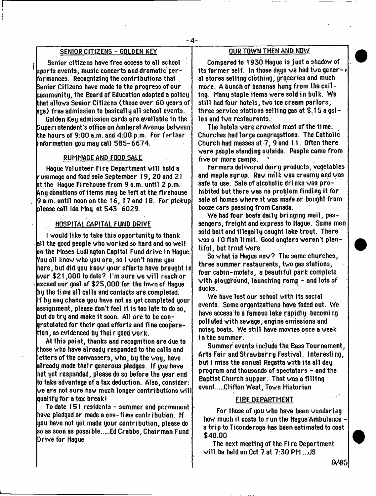#### **SEN1QR CITIZENS - GOLDEN KEY**

**I Senior citizens have free access to all school sports events, music concerts and dramatic performances. Recognizing the contributions that , Senior Citizens have made to the progress of our community, the Board of Education adopted a policy that allows Senior Citizens (those over 60 years of age) free admission to basically all school events.**

**Golden Key admission cards are available in the Superintendent's office on Amherst Avenue between the hours of 9:00 a.m. and 4:00 p.m. For further information you may call 585-6674.**

#### **RUMMAGE AND FOOD SALE**

**Hague Volunteer Fire Department will hold a rummage and food sale September 19, 20 and 21 at the Hague Fi rehouse from 9 a.m. until 2 p.m. Any donations of items may be left at the fi rehouse 9 a.m. until noon on the 16, 17 and 18. For pickup please call Ida May at 543-6029.**

#### **HOSPITAL CAPITAL FUND DRIVE**

**I would like to take this opportunity to thank all the good people who worked so hard and so well on the Moses Ludington Capital Fund drive in Hague, fou all know who you are, so I won't name you here, but did you know your efforts have brought in over \$21,000 to date? I'm sure we will reach or ' exceed our goal of \$25,000 for the town of Hague by the time all calls and contacts are completed. : If by any chance you have not as yet completed your assignment, please don't feel it is too late to do so, but do try and make it soon. All are to be congratulated for their good efforts and fine cooperation, as evidenced by their good work.**

**At this point, thanks and recognition are due to those who have already responded to the calls and letters of the canvassers, who, by the way, have already made their generous pledges. If you have not yet responded, please do so before the year end to take advantage of a tax deduction. Also, consider: we are not sure how much longer contributions will qualify for a tax break!**

To date 151 residents - summer and permanent **have pledged or made a one-time contribution. If you have not yet made your contribution, please do so as soon as possible Ed Crabbs, Chairman Fund Drive for Hague**

#### **OUR TOWN THEN AND NOW**

**Compared to 1930 Hague is just a shadow of its former self. 1 n those days we had two gener- \* al stores selling clothing, groceries and much more. A bunch of bananas hung from the ceil ing. Many staple items were sold in bulk. We still had four hotels, two ice cream parlors, three service stations selli ng ga3 at \$. 15 a gal - Ion and two restaurants/**

**The hotels were crowded most of the ti me. Churches had large congregations. The Catholic Church had masses at 7, 9 and 11. Often there were people standi ng outside. People came from** five or more camps.

**Farmers delivered dairy products, vegetables and maple syrup. Raw milk was creamy and was safe to use. Sale of alcoholic drinks was prohibited but there was no problem finding it for sale at homes where it was made or bought from booze cars passi ng from Canada.**

**We had four boats daily bringing mail, passengers, freight and express to Hague.. Some men** sold bait and illegally caught lake trout. There' **was a 10 fish limit. Good anglers weren't plentiful, but trout were.**

**So what is Hague now? The same churches, three summer restaurants, two gas stations, four cabin-motels, a beautiful park complete with playground, launching ramp - and lots of ducks.**

**We have lo3t our school with its social events. Some organizations have faded out. We have access to a famous lake rapidly becoming polluted with sewage, engi ne emissions and noi3y boats. We still have movies once a week in the summer.**

**Summer events i ncl ude the Bass Tournament,** Arts Fair and Strawberry Festival. Interesting, **but I miss the annual Regatta with its all day program aRd thousands of spectators - and the Baptist Church supper. That was a filling event Clifton West, Town Historian**

#### **FIRE DEPARTMENT**

**For those of you who have been wonderi ng how much it cost3 to run the Hague Ambulance a trip to Ticonderoga has been estimated to cost \$40.00**

**The next meeting of the Fire Department** will be held on Oct 7 at 7:30 PM ...JS

**9/65**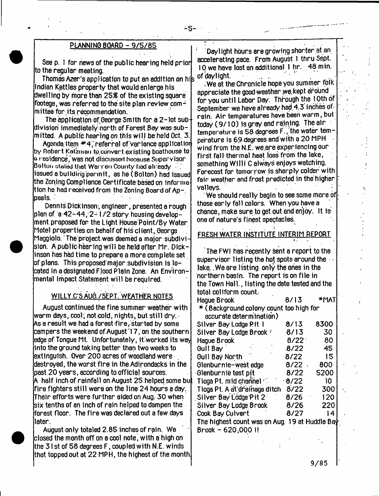#### **PLANNING BOARD - 9 /5 /8 5**

**See p. 1 for news of the public hearing held prior to the regular meeting.**

**Thomas Azer'?application to put an addition on his Indian Kettles property that would enlarge his** dwelling by more than 25% of the existing square **footage, was referred to the site plan review com^** Imittee for its recommendation.

The application of George Smith for a 2-lot sub**division immediately north of Forest Bay was submitted. A public hearing on this will be held Oct. 3.**

**Agenda item # 4;'referral of Variance application by Robert Katzman tp.convert existing boathouse to o residence,'was not discussed because Supervisor Bolton slated that Warren County had already issued a building permit, as he ( Bolton) had issued the Zoning Compliance Certificate based on informa tion he had received from the Zoning Board of Appeals.**

**Dennis Dickinson; engineer, presented a rough** plan of <sup>'</sup>a 42-44, 2-1/2 story housing develop**ment proposed for the Light House Point/By Water Motel properties on behalf of his client, George Maggiolo. The project was deemed a major subdivi-** $\,$ sion. A public hearing will be held after Mr. Dick**inson has had time to prepare a more complete set of plans. This proposed major subdivision is located in a designated Flood Plain Zone. An Environmental Impact Statement will be required.**

# **WILLY.C'S AUG./SEPT. WEATHER NOTES**

**August continued the fine summer weather with warm days, cool; not cold, nights\* but still dry. As a result we had a forest-fire,- started by some** campers the weekend of August 17 , on the southern **edge of Tongue Mt. Unfortunately, itworked its way into the ground taking better than two weeks 1o extinguish. Over 200 acres of woodland were destroyed, the worst fire in the Adirondacks in the past 20 years, according to official sources. A half inch of rainfall on August 25 helped some bu; fire fighters still were on the line 24 hours a day. Their efforts were further aided on Aug. 30 when six tenths of an inch of rain helped to dampen the forest floor. The fire was declared out a few days later.**

**August only totaled 2.85 inches of rain. We closed the month off on a cool notei with a high on the 31 st of 58 degrees F, coupled with N.E. winds that topped out at 22 MPH, the highest of the month**

**; Daylight hours are growing shorter at an accelerating pace. From August 1 thru Sept. 10 we have lost an additional 1 hr. 48 min. of daylight. . . .**

-5-

**. We at the Chronicle hope you summer folk appreciate the good-weather .yvp.kept around for you until Labor Day. Through the I Oth of September we have already had.4.3 inches of rain. Air temperatures have been warm, but today (9 /1 0 ) Is gray and raining. Thealr temperature is 58 degrees F,, the water temperature is 69-degrees and with a 20 MPH wind from the N.E. we.are experiencing our first fall thermal heat loss from the lake, something Willi C always enjoys watching. Forecast for tomorrow is sharply colder with fair weather and frost predicted in the higher : valleys. ' '**

**We should really begin to see some more of those early fall colors. When you have a chance, make sure to get gut and enjoy. It isone of nature's finest spectacles.**

# <u>FRESH WATER INSTITUTE INTERIM REPORT</u>

**The FWI has recently sent a report to the supervisor listing the hot spots around the lake. . We are listing only the ones in the northern basin. The report is on file in the Town HalL, listing the date tested end the total conform count. Hague Brook 8/13 \*MAT \* ( Background colony count too high for accurate determination) Silver Bay Lodge Pit 1 8/13 8300 Silver Bay Lodge Brook :: 6 /1 3 30 Hague Brook** Gull Bay **8/22** 45 **Gull Bay North 8 /2 2 15 Glenburnie-west edge 8/2 2 . 800 Glenburnie test pit 8/22 5200 Tioga Pt. mid channel**<br>Tioga Pt. A at drainage ditch 8/22 300 **Tioga Pt. A at'drainage ditch 8/22 300 Si 1 ver B ay LcSdge P it 2 8/26 120 Silver Bay Lodge Brook 8 /2 6 220 Cook Bay Culvert 8 /2 7 14 The highest count was on Aug. 19 at Huddle Ba^ Brook - 620,000 1!**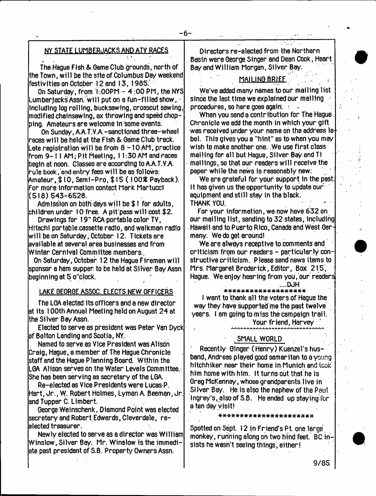# **NY STATE LUMBERJACKS AND ATV RACES**

**The Hague Fish & Game Club grounds, north of the Town, will be the site of Columbus Day weekend festivities on October 12 and 13, 1965.**

**On Saturday, from I :OOPM - 4 :00 PM, the NYS Lumberjacks Assn. will put on a fun-filled show, ■ including log rolling, bucksawing, crosscut sawing, modified chainsawing, ax throwing and speed chopping. Amateurs are welcome In some events.**

On Sunday, A.A.T.V.A:-sanctioned three-wheel **races will be held at the Fish & Gsme Club track. Late registration will be from 8 -1 0 AM, practice from 9 - M AM; Pit Heating, 11:30 AM and races begin at noon. Classes are according to A.A.T.V.A. rule book, and entry fees will be as follows: Amateur, \$ 10, Semi-Pro, \$ 15 (1 005S Payback). For more Information contact Mark Martuccl (5 1 8 )5 4 3 -6 5 2 8 .**

**Admission on both' days will be \$ 1 for adults, children under 10 free. Apit'pesswiMcost\$2.**

**Drawings for 19" RCA portable color TV, Hitachi portable cassette radio, and walkman radio will be on Saturday, October 12. Tickets are available at several area businesses and from Winter Carnival Committee members..**

**On Saturday, October 12 the Hague Firemen will sponsor a ham supper to be held at Silver Bay Assn beginning at 5 o"clock.** 

#### **LAKE GEORGE ASSOC. ELECTS NEW OFFICERS**

**The LGA elected Its officers and a new director at its 100th Annual Meeting held on August 24 at the Silver Bay Assn.**

**Elected to serve as president was Peter Van Dyck of Bolton Landing end Scotia, NY.**

**Named to serve as Vice President was Alison Craig, Hague, a member of The Hague Chronicle staff and the Hague Planning Board. Within the LGA Alison serves on the Water Levels Committee. She has been serving as secretary of the LGA.**

**Re-elected as Vice Presidents were Lucas P. Hart, Jr., W. Robert Holmes, Lyman A. Beeman, Jr. and Tupper C. Llmbert**

**George Weinschenk, Diamond Point was elected secretary and Robert Edwards, Cleverdale, reelected treasurer.**

**Newly elected to serve as a director was William Winslow, Silver Bay. Mr. Winslow is the immediate past president of S.B. Property Owners Assn.**

**Directors re-elected from the Northern . Basin were George Singer and Dean Cook, Heart Bayand William Morgan, Silver Bey.**

## **MAILING BRIEF . .**

**We've added many names to pur mailing list since the last time we explained our mailing procedures, so here goes again. : >•**

**When you send a contribution for The Hague. Chronicle we add the month in which your gift was received under your name on the address la bel. This gives you a "hint" as to when you may wish to make another one. We use first class mailing for all but Hague, Silver Bayand Ti mailings, so that our readers will receive the paper while the news is reasonably new.**

**We are grateful for your support in the past. It has given us the opportunity to update our equipment and still stay in the black. THANK YOU.** 

**For your information, we now have 632 on our mailing list, sending to 32 states, including Hawaii and to Puerto Rico, Canada and West Germany. We do get around!**

**We are always receptive to comments and criticism from our readers - particularly constructive criticism. Please send news items to Mrs. Margaret Broderick, Editor, Box 215, Hague. We enjoy hearing from you, our readers**

# **....DJH**

#### **\* \* \* \* \* \* \* \* \* \* \* \* \* \* \* \* \* \* \***

**I want to thank all the voters of Hague the way they have supported me the past twelve years. I am going to miss the campaign trail.**

**Your friend, Harvey**

#### **, SMALL WORLD**

**' Recently Ginger (Henry) Kuenzel's husband, Andreas played good Samaritan to a young hitchhiker near their home in Munich and took him home with him. It turns out that he is Greg McKenney, whose grandparents live in SI lver Bay. He is also the nephew of the Raul Ingrey's, also of S.B. He ended up staying for a ten day visit!**

#### **\* \* \* \* \* \* \* \* \* \* \* \* \* \* \* \* \* \* \* \* \* \***

**Spatted on Sept. 12 in Friend's Pt. one large monkey, running along on two hind feet, BC insists he wasn't seeing things, either!**

**9/85**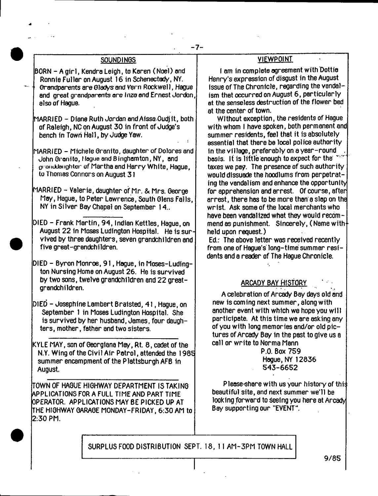# **SOUNDIN0S**

**BORN - A girl, Kendra Leigh, to Karen ( Noel) and Ronnie Fuller on August 16 in Schenectady, NY.** Grandparents are Gladys and Vern Rockwell, Hague **and great grandparents ore Inza end Ernest Jordon, also of Hague.**

**MARRIED - Diane Ruth Jordan and AissaOudjlt, both of Raleigh, NC on August 30 in front of Judge's bench in Town Hall, by Judge Yaw.**

**MARRIED - Michele Granito, daughter of Dolores and John Granito, (**logue **and Binghamton, NY, and or onddaiighter of Martha and Harry White, Hague, to Thomas Connors on August 31**

- **MARRIED Valerie, daughter of Mr. & Mrs. George May, Hague, to Peter Lawrence, South Glens Falls, NY in Silver Bay Chapel on September 14..**
- **DIED Frank Martin, 94, Indian Kettles, Hague, on August 22 in Moses Ludington Hospital. He is survived by three daughters, seven grandchildren and five great-grandchildren.**
- **DIED Byron Monroe, 91, Hague, in Moses-Ludlngton Nursing Home on August 26. He is survived by two sons, twelve grandchildren and 22 greatgrandchildren.**
- **DIED Josephine Lambert Bralsted, 41, Hague, on September 1 in Moses Ludington Hospital. She is survived by her husband, James, four daughters, mother, father and two sisters.**
- **KYLE MAY, son of Georglana May, Rt. 8, cadet of the N.Y. Wing of the Civil Air Patrol, attended the 1985 summer encampment of the Plattsburgh AFB In August.**

**TOWN OF HAGUE HIGHWAY DEPARTMENT IS TAKING APPLICATIONS FOR A FULL TIME AND PART TIME OPERATOR. APPLICATIONS MAY BE PICKED UP AT THE HIGHWAY GARAGE MONDAY-FRIDAY, 6:30 AM to 2:30 PM.**

# **VIEWPOINT**

**I am in complete agreement with Dottie Henry's expression of disgust in the August issue of The Chronicle, regarding the vandalism that occurred on August 6, particularly at the senseless destruction of the flower bed at the center of town.**

Without exception, the residents of Hague **with whom I have spoken, both permanent and summer residents, feel that it is absolutely essential that there be local police authority In the village, preferably on a year-round . basis. It is little enough to expect for the taxes we pay. The presence of such authority would dissuade the hoodlums from perpetrating the vandalism and enhance the opportunity for apprehension and arrest. Of course, after arrest, there has to be more than a slap on the wrist. Ask some of the local merchants who have been vandalized what they would recom**mend as punishment. Sincerely, (Name with  $\dagger$ **held upon request.)**

**Ed.: The above letter was received recently from one of Hague's long-time summer residents and a reader of The Hague Chronicle.**

# **ARGADY BAY HISTORY**

**A celebration of Arcady Bey days old and new is coming next summer, along with another event with which we hope you will participate. At this time we are asking any of you with long memories and/or old pictures of Arcady Bay in the past to give us a call or write to Norma Mann**

> **P.O. Box 759 Hague, NY 12836 543-6652**

**Please-share with us your history of thi:; beautiful site, end next summer we'll be looking forward to seeing you here at Arcady Bay supporting our "EVENT".**

**SURPLUS FOOD DISTRIBUTION SEPT. 18, 11 AM-3PM TOWN HALL**